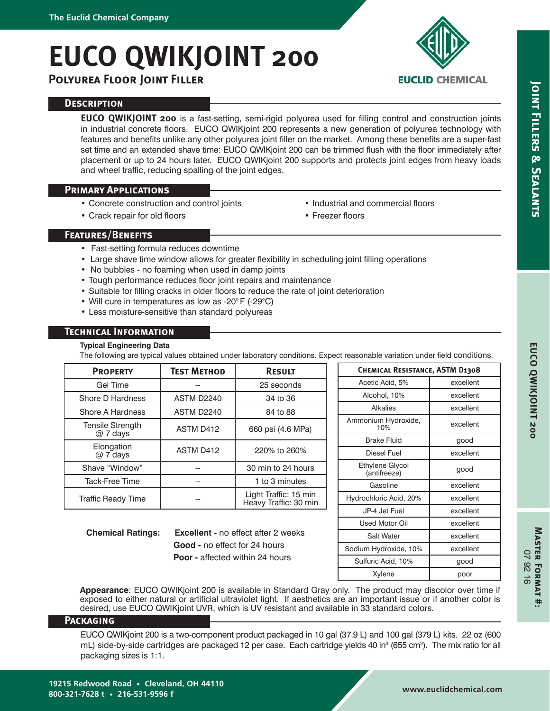# **EUCO QWIKJOINT 200**

**Polyurea Floor Joint Filler**

# **EUCLID CHEMICAL**

**Joint Fillers & Sealants**

**JOINT FILLERS & SEALANTS** 

# **Description**

**EUCO QWIKJOINT 200** is a fast-setting, semi-rigid polyurea used for filling control and construction joints in industrial concrete floors. EUCO QWIKjoint 200 represents a new generation of polyurea technology with features and benefits unlike any other polyurea joint filler on the market. Among these benefits are a super-fast set time and an extended shave time: EUCO QWIKjoint 200 can be trimmed flush with the floor immediately after placement or up to 24 hours later. EUCO QWIKjoint 200 supports and protects joint edges from heavy loads and wheel traffic, reducing spalling of the joint edges.

# **Primary Applications**

- Concrete construction and control joints
- Crack repair for old floors
- Industrial and commercial floors
- Freezer floors

# **Features/Benefits**

- Fast-setting formula reduces downtime
- Large shave time window allows for greater flexibility in scheduling joint filling operations
- No bubbles no foaming when used in damp joints
- Tough performance reduces floor joint repairs and maintenance
- Suitable for filling cracks in older floors to reduce the rate of joint deterioration
- Will cure in temperatures as low as -20° F (-29°C)
- Less moisture-sensitive than standard polyureas

# **Technical Information**

#### **Typical Engineering Data**

The following are typical values obtained under laboratory conditions. Expect reasonable variation under field conditions.

| <b>PROPERTY</b>                     | <b>TEST METHOD</b> | <b>RESULT</b>                                  |  |
|-------------------------------------|--------------------|------------------------------------------------|--|
| Gel Time                            |                    | 25 seconds                                     |  |
| Shore D Hardness                    | <b>ASTM D2240</b>  | 34 to 36                                       |  |
| Shore A Hardness                    | <b>ASTM D2240</b>  | 84 to 88                                       |  |
| <b>Tensile Strength</b><br>@ 7 days | ASTM D412          | 660 psi (4.6 MPa)                              |  |
| Elongation<br>@ 7 days              | ASTM D412          | 220% to 260%                                   |  |
| Shave "Window"                      |                    | 30 min to 24 hours                             |  |
| <b>Tack-Free Time</b>               |                    | 1 to 3 minutes                                 |  |
| Traffic Ready Time                  |                    | Light Traffic: 15 min<br>Heavy Traffic: 30 min |  |

**Chemical Ratings: Excellent -** no effect after 2 weeks  **Good -** no effect for 24 hours  **Poor -** affected within 24 hours

| <b>CHEMICAL RESISTANCE, ASTM D1308</b> |  |  |  |  |  |
|----------------------------------------|--|--|--|--|--|
| excellent                              |  |  |  |  |  |
| excellent                              |  |  |  |  |  |
| excellent                              |  |  |  |  |  |
| excellent                              |  |  |  |  |  |
| good                                   |  |  |  |  |  |
| excellent                              |  |  |  |  |  |
| good                                   |  |  |  |  |  |
| excellent                              |  |  |  |  |  |
| excellent                              |  |  |  |  |  |
| excellent                              |  |  |  |  |  |
| excellent                              |  |  |  |  |  |
| excellent                              |  |  |  |  |  |
| excellent                              |  |  |  |  |  |
| good                                   |  |  |  |  |  |
| poor                                   |  |  |  |  |  |
|                                        |  |  |  |  |  |

**Appearance**: EUCO QWIKjoint 200 is available in Standard Gray only. The product may discolor over time if exposed to either natural or artificial ultraviolet light. If aesthetics are an important issue or if another color is desired, use EUCO QWIKjoint UVR, which is UV resistant and available in 33 standard colors.

# **Packaging**

EUCO QWIKjoint 200 is a two-component product packaged in 10 gal (37.9 L) and 100 gal (379 L) kits. 22 oz (600 mL) side-by-side cartridges are packaged 12 per case. Each cartridge yields 40 in<sup>3</sup> (655 cm<sup>3</sup>). The mix ratio for all packaging sizes is 1:1.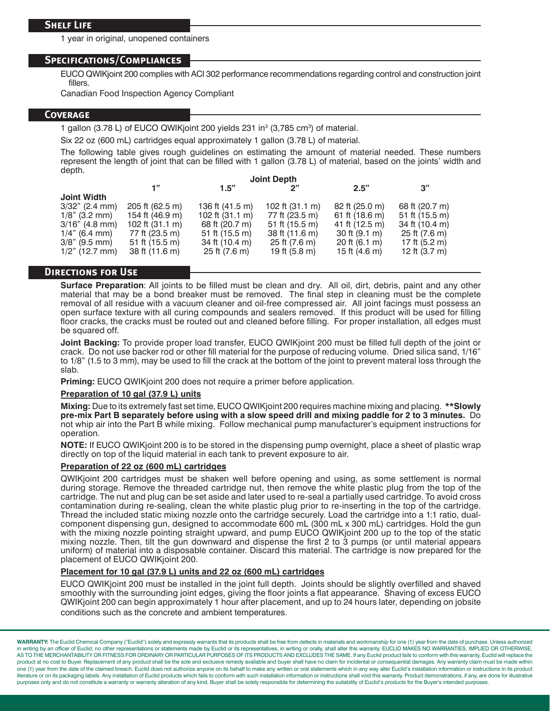1 year in original, unopened containers

#### **Specifications/Compliances**

EUCO QWIKjoint 200 complies with ACI 302 performance recommendations regarding control and construction joint fillers.

Canadian Food Inspection Agency Compliant

#### **Coverage**

1 gallon (3.78 L) of EUCO QWIKjoint 200 yields 231 in<sup>3</sup> (3,785 cm<sup>3</sup>) of material.

Six 22 oz (600 mL) cartridges equal approximately 1 gallon (3.78 L) of material.

The following table gives rough guidelines on estimating the amount of material needed. These numbers represent the length of joint that can be filled with 1 gallon (3.78 L) of material, based on the joints' width and depth.

|                    | <b>Joint Depth</b>        |                           |                           |                           |                |  |
|--------------------|---------------------------|---------------------------|---------------------------|---------------------------|----------------|--|
|                    | 1"                        | 1.5"                      | ייפ                       | 2.5"                      | 3"             |  |
| <b>Joint Width</b> |                           |                           |                           |                           |                |  |
| $3/32$ " (2.4 mm)  | 205 ft (62.5 m)           | 136 ft (41.5 m)           | 102 ft $(31.1 \text{ m})$ | 82 ft (25.0 m)            | 68 ft (20.7 m) |  |
| $1/8$ " (3.2 mm)   | 154 ft (46.9 m)           | 102 ft $(31.1 \text{ m})$ | 77 ft (23.5 m)            | 61 ft (18.6 m)            | 51 ft (15.5 m) |  |
| $3/16"$ (4.8 mm)   | 102 ft $(31.1 \text{ m})$ | 68 ft (20.7 m)            | 51 ft (15.5 m)            | 41 ft (12.5 m)            | 34 ft (10.4 m) |  |
| $1/4$ " (6.4 mm)   | 77 ft (23.5 m)            | 51 ft $(15.5 \text{ m})$  | 38 ft (11.6 m)            | $30$ ft $(9.1 \text{ m})$ | 25 ft (7.6 m)  |  |
| $3/8$ " (9.5 mm)   | 51 ft $(15.5 \text{ m})$  | 34 ft (10.4 m)            | 25 ft (7.6 m)             | 20 ft $(6.1 \text{ m})$   | 17 ft (5.2 m)  |  |
| $1/2$ " (12.7 mm)  | 38 ft (11.6 m)            | 25 ft (7.6 m)             | 19 ft (5.8 m)             | 15 ft $(4.6 \text{ m})$   | 12 ft (3.7 m)  |  |
|                    |                           |                           |                           |                           |                |  |

### **Directions for Use**

**Surface Preparation**: All joints to be filled must be clean and dry. All oil, dirt, debris, paint and any other material that may be a bond breaker must be removed. The final step in cleaning must be the complete removal of all residue with a vacuum cleaner and oil-free compressed air. All joint facings must possess an open surface texture with all curing compounds and sealers removed. If this product will be used for filling floor cracks, the cracks must be routed out and cleaned before filling. For proper installation, all edges must be squared off.

**Joint Backing:** To provide proper load transfer, EUCO QWIKjoint 200 must be filled full depth of the joint or crack. Do not use backer rod or other fill material for the purpose of reducing volume. Dried silica sand, 1/16" to 1/8" (1.5 to 3 mm), may be used to fill the crack at the bottom of the joint to prevent materal loss through the slab.

**Priming:** EUCO QWIKjoint 200 does not require a primer before application.

#### **Preparation of 10 gal (37.9 L) units**

**Mixing:** Due to its extremely fast set time, EUCO QWIKjoint 200 requires machine mixing and placing. **\*\*Slowly pre-mix Part B separately before using with a slow speed drill and mixing paddle for 2 to 3 minutes.** Do not whip air into the Part B while mixing. Follow mechanical pump manufacturer's equipment instructions for operation.

**NOTE:** If EUCO QWIKjoint 200 is to be stored in the dispensing pump overnight, place a sheet of plastic wrap directly on top of the liquid material in each tank to prevent exposure to air.

#### **Preparation of 22 oz (600 mL) cartridges**

QWIKjoint 200 cartridges must be shaken well before opening and using, as some settlement is normal during storage. Remove the threaded cartridge nut, then remove the white plastic plug from the top of the cartridge. The nut and plug can be set aside and later used to re-seal a partially used cartridge. To avoid cross contamination during re-sealing, clean the white plastic plug prior to re-inserting in the top of the cartridge. Thread the included static mixing nozzle onto the cartridge securely. Load the cartridge into a 1:1 ratio, dualcomponent dispensing gun, designed to accommodate 600 mL (300 mL x 300 mL) cartridges. Hold the gun with the mixing nozzle pointing straight upward, and pump EUCO QWIKjoint 200 up to the top of the static mixing nozzle. Then, tilt the gun downward and dispense the first 2 to 3 pumps (or until material appears uniform) of material into a disposable container. Discard this material. The cartridge is now prepared for the placement of EUCO QWIKjoint 200.

#### **Placement for 10 gal (37.9 L) units and 22 oz (600 mL) cartridges**

EUCO QWIKjoint 200 must be installed in the joint full depth. Joints should be slightly overfilled and shaved smoothly with the surrounding joint edges, giving the floor joints a flat appearance. Shaving of excess EUCO QWIKjoint 200 can begin approximately 1 hour after placement, and up to 24 hours later, depending on jobsite conditions such as the concrete and ambient temperatures.

WARRANTY: The Euclid Chemical Company ("Euclid") solely and expressly warrants that its products shall be free from defects in materials and workmanship for one (1) year from the date of purchase. Unless authorized in writing by an officer of Euclid, no other representations or statements made by Euclid or its representatives, in writing or orally, shall alter this warranty. EUCLID MAKES NO WARRANTIES, IMPLIED OR OTHERWISE, AS TO THE MERCHANTABILITY OR FITNESS FOR ORDINARY OR PARTICULAR PURPOSES OF ITS PRODUCTS AND EXCLUDES THE SAME. If any Euclid product fails to conform with this warranty, Euclid will replace the product at no cost to Buyer. Replacement of any product shall be the sole and exclusive remedy available and buyer shall have no claim for incidental or consequential damages. Any warranty claim must be made within one (1) year from the date of the claimed breach. Euclid does not authorize anyone on its behalf to make any written or oral statements which in any way alter Euclid's installation information or instructions in its product literature or on its packaging labels. Any installation of Euclid products which fails to conform with such installation information or instructions shall void this warranty. Product demonstrations, if any, are done for il purposes only and do not constitute a warranty or warranty alteration of any kind. Buyer shall be solely responsible for determining the suitability of Euclid's products for the Buyer's intended purpose